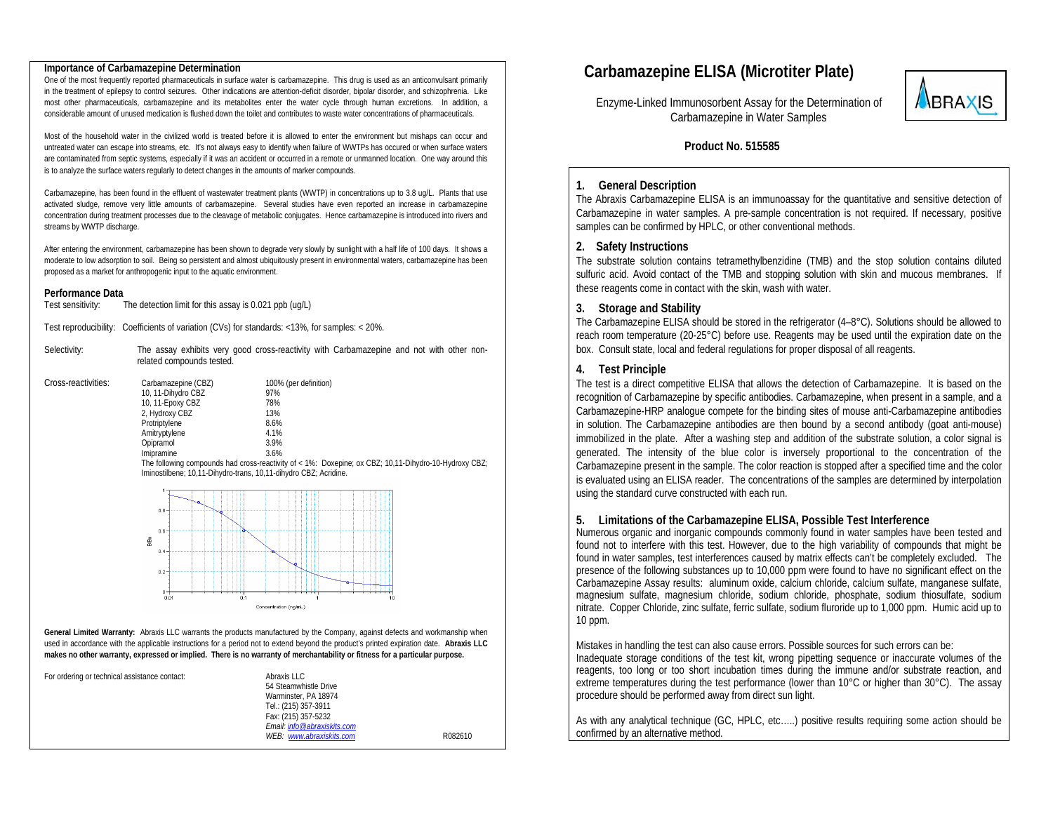#### **Importance of Carbamazepine Determination**

One of the most frequently reported pharmaceuticals in surface water is carbamazepine. This drug is used as an anticonvulsant primarily in the treatment of epilepsy to control seizures. Other indications are attention-deficit disorder, bipolar disorder, and schizophrenia. Like most other pharmaceuticals, carbamazepine and its metabolites enter the water cycle through human excretions. In addition, a considerable amount of unused medication is flushed down the toilet and contributes to waste water concentrations of pharmaceuticals.

Most of the household water in the civilized world is treated before it is allowed to enter the environment but mishaps can occur and untreated water can escape into streams, etc. It's not always easy to identify when failure of WWTPs has occured or when surface waters are contaminated from septic systems, especially if it was an accident or occurred in a remote or unmanned location. One way around this is to analyze the surface waters regularly to detect changes in the amounts of marker compounds.

Carbamazepine, has been found in the effluent of wastewater treatment plants (WWTP) in concentrations up to 3.8 ug/L. Plants that use activated sludge, remove very little amounts of carbamazepine. Several studies have even reported an increase in carbamazepine concentration during treatment processes due to the cleavage of metabolic conjugates. Hence carbamazepine is introduced into rivers and streams by WWTP discharge.

After entering the environment, carbamazepine has been shown to degrade very slowly by sunlight with a half life of 100 days. It shows a moderate to low adsorption to soil. Being so persistent and almost ubiquitously present in environmental waters, carbamazepine has been proposed as a market for anthropogenic input to the aquatic environment.

#### **Performance Data**

Test sensitivity: The detection limit for this assay is 0.021 ppb (ug/L)

Test reproducibility: Coefficients of variation (CVs) for standards: <13%, for samples: < 20%.

Selectivity: The assay exhibits very good cross-reactivity with Carbamazepine and not with other nonrelated compounds tested.

| Cross-reactivities: | Carbamazepine (CBZ) | 100% (per definition) |  |  |
|---------------------|---------------------|-----------------------|--|--|
|                     | 10, 11-Dihydro CBZ  | 97%                   |  |  |
|                     | 10, 11-Epoxy CBZ    | 78%                   |  |  |
|                     | 2, Hydroxy CBZ      | 13%                   |  |  |
|                     | Protriptylene       | 8.6%                  |  |  |
|                     | Amitryptylene       | 4.1%                  |  |  |
|                     | Opipramol           | 3.9%                  |  |  |
|                     | Imipramine          | 3.6%                  |  |  |
|                     |                     | $\sim$                |  |  |

 The following compounds had cross-reactivity of < 1%: Doxepine; ox CBZ; 10,11-Dihydro-10-Hydroxy CBZ; Iminostilbene; 10,11-Dihydro-trans, 10,11-dihydro CBZ; Acridine.



General Limited Warranty: Abraxis LLC warrants the products manufactured by the Company, against defects and workmanship when used in accordance with the applicable instructions for a period not to extend beyond the product's printed expiration date. **Abraxis LLC makes no other warranty, expressed or implied. There is no warranty of merchantability or fitness for a particular purpose.** 

| For ordering or technical assistance contact: | Abraxis LLC<br>54 Steamwhistle Drive<br>Warminster, PA 18974<br>Tel.: (215) 357-3911<br>Fax: (215) 357-5232<br>Fmail: info@abraxiskits.com |         |
|-----------------------------------------------|--------------------------------------------------------------------------------------------------------------------------------------------|---------|
|                                               | WEB: www.abraxiskits.com                                                                                                                   | R082610 |

# **Carbamazepine ELISA (Microtiter Plate)**

 Enzyme-Linked Immunosorbent Assay for the Determination of Carbamazepine in Water Samples



 **Product No. 515585** 

#### **1. General Description**

The Abraxis Carbamazepine ELISA is an immunoassay for the quantitative and sensitive detection of Carbamazepine in water samples. A pre-sample concentration is not required. If necessary, positive samples can be confirmed by HPLC, or other conventional methods.

#### **2. Safety Instructions**

The substrate solution contains tetramethylbenzidine (TMB) and the stop solution contains diluted sulfuric acid. Avoid contact of the TMB and stopping solution with skin and mucous membranes. If these reagents come in contact with the skin, wash with water.

#### **3.Storage and Stability**

The Carbamazepine ELISA should be stored in the refrigerator  $(4-8^{\circ}C)$ . Solutions should be allowed to reach room temperature (20-25°C) before use. Reagents may be used until the expiration date on the box. Consult state, local and federal regulations for proper disposal of all reagents.

#### **4. Test Principle**

The test is a direct competitive ELISA that allows the detection of Carbamazepine. It is based on the recognition of Carbamazepine by specific antibodies. Carbamazepine, when present in a sample, and a Carbamazepine-HRP analogue compete for the binding sites of mouse anti-Carbamazepine antibodies in solution. The Carbamazepine antibodies are then bound by a second antibody (goat anti-mouse) immobilized in the plate. After a washing step and addition of the substrate solution, a color signal is generated. The intensity of the blue color is inversely proportional to the concentration of the Carbamazepine present in the sample. The color reaction is stopped after a specified time and the color is evaluated using an ELISA reader. The concentrations of the samples are determined by interpolation using the standard curve constructed with each run.

#### **5.Limitations of the Carbamazepine ELISA, Possible Test Interference**

Numerous organic and inorganic compounds commonly found in water samples have been tested and found not to interfere with this test. However, due to the high variability of compounds that might be found in water samples, test interferences caused by matrix effects can't be completely excluded. The presence of the following substances up to 10,000 ppm were found to have no significant effect on the Carbamazepine Assay results: aluminum oxide, calcium chloride, calcium sulfate, manganese sulfate, magnesium sulfate, magnesium chloride, sodium chloride, phosphate, sodium thiosulfate, sodium nitrate. Copper Chloride, zinc sulfate, ferric sulfate, sodium fluroride up to 1,000 ppm. Humic acid up to 10 ppm.

Mistakes in handling the test can also cause errors. Possible sources for such errors can be: Inadequate storage conditions of the test kit, wrong pipetting sequence or inaccurate volumes of the reagents, too long or too short incubation times during the immune and/or substrate reaction, and extreme temperatures during the test performance (lower than 10°C or higher than 30°C). The assay procedure should be performed away from direct sun light.

As with any analytical technique (GC, HPLC, etc…..) positive results requiring some action should be confirmed by an alternative method.